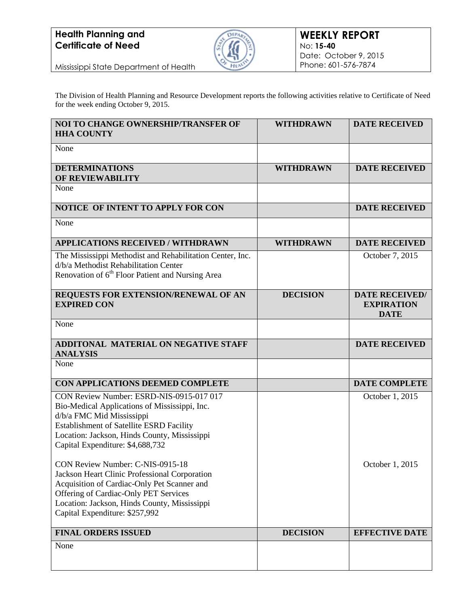

Mississippi State Department of Health

The Division of Health Planning and Resource Development reports the following activities relative to Certificate of Need for the week ending October 9, 2015.

| <b>NOI TO CHANGE OWNERSHIP/TRANSFER OF</b><br><b>HHA COUNTY</b>                                                                                                                                                                                                                                                                                                                                                                                                                                                              | <b>WITHDRAWN</b> | <b>DATE RECEIVED</b>                                      |
|------------------------------------------------------------------------------------------------------------------------------------------------------------------------------------------------------------------------------------------------------------------------------------------------------------------------------------------------------------------------------------------------------------------------------------------------------------------------------------------------------------------------------|------------------|-----------------------------------------------------------|
| None                                                                                                                                                                                                                                                                                                                                                                                                                                                                                                                         |                  |                                                           |
| <b>DETERMINATIONS</b><br>OF REVIEWABILITY                                                                                                                                                                                                                                                                                                                                                                                                                                                                                    | <b>WITHDRAWN</b> | <b>DATE RECEIVED</b>                                      |
| None                                                                                                                                                                                                                                                                                                                                                                                                                                                                                                                         |                  |                                                           |
| NOTICE OF INTENT TO APPLY FOR CON                                                                                                                                                                                                                                                                                                                                                                                                                                                                                            |                  | <b>DATE RECEIVED</b>                                      |
| None                                                                                                                                                                                                                                                                                                                                                                                                                                                                                                                         |                  |                                                           |
| <b>APPLICATIONS RECEIVED / WITHDRAWN</b>                                                                                                                                                                                                                                                                                                                                                                                                                                                                                     | <b>WITHDRAWN</b> | <b>DATE RECEIVED</b>                                      |
| The Mississippi Methodist and Rehabilitation Center, Inc.<br>d/b/a Methodist Rehabilitation Center<br>Renovation of 6 <sup>th</sup> Floor Patient and Nursing Area                                                                                                                                                                                                                                                                                                                                                           |                  | October 7, 2015                                           |
| REQUESTS FOR EXTENSION/RENEWAL OF AN<br><b>EXPIRED CON</b>                                                                                                                                                                                                                                                                                                                                                                                                                                                                   | <b>DECISION</b>  | <b>DATE RECEIVED/</b><br><b>EXPIRATION</b><br><b>DATE</b> |
| None                                                                                                                                                                                                                                                                                                                                                                                                                                                                                                                         |                  |                                                           |
| <b>ADDITONAL MATERIAL ON NEGATIVE STAFF</b><br><b>ANALYSIS</b>                                                                                                                                                                                                                                                                                                                                                                                                                                                               |                  | <b>DATE RECEIVED</b>                                      |
| None                                                                                                                                                                                                                                                                                                                                                                                                                                                                                                                         |                  |                                                           |
| CON APPLICATIONS DEEMED COMPLETE                                                                                                                                                                                                                                                                                                                                                                                                                                                                                             |                  | <b>DATE COMPLETE</b>                                      |
| CON Review Number: ESRD-NIS-0915-017 017<br>Bio-Medical Applications of Mississippi, Inc.<br>d/b/a FMC Mid Mississippi<br><b>Establishment of Satellite ESRD Facility</b><br>Location: Jackson, Hinds County, Mississippi<br>Capital Expenditure: \$4,688,732<br>CON Review Number: C-NIS-0915-18<br>Jackson Heart Clinic Professional Corporation<br>Acquisition of Cardiac-Only Pet Scanner and<br>Offering of Cardiac-Only PET Services<br>Location: Jackson, Hinds County, Mississippi<br>Capital Expenditure: \$257,992 |                  | October 1, 2015<br>October 1, 2015                        |
| <b>FINAL ORDERS ISSUED</b>                                                                                                                                                                                                                                                                                                                                                                                                                                                                                                   | <b>DECISION</b>  | <b>EFFECTIVE DATE</b>                                     |
| None                                                                                                                                                                                                                                                                                                                                                                                                                                                                                                                         |                  |                                                           |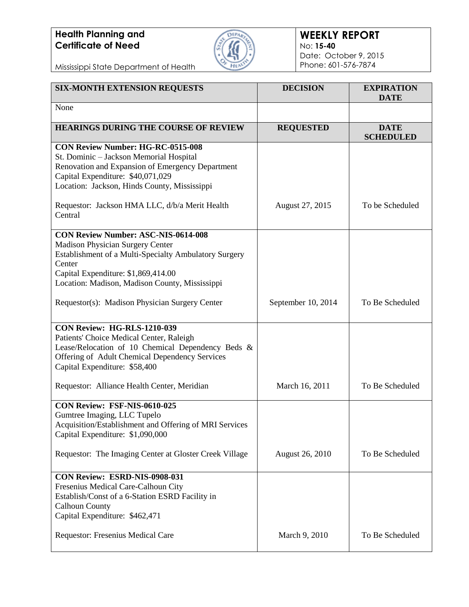

#### **WEEKLY REPORT** No: **15-40** Date: October 9, 2015 Phone: 601-576-7874

Mississippi State Department of Health

| <b>SIX-MONTH EXTENSION REQUESTS</b>                                                                                                                                                                                                               | <b>DECISION</b>    | <b>EXPIRATION</b><br><b>DATE</b> |
|---------------------------------------------------------------------------------------------------------------------------------------------------------------------------------------------------------------------------------------------------|--------------------|----------------------------------|
| None                                                                                                                                                                                                                                              |                    |                                  |
| <b>HEARINGS DURING THE COURSE OF REVIEW</b>                                                                                                                                                                                                       | <b>REQUESTED</b>   | <b>DATE</b><br><b>SCHEDULED</b>  |
| <b>CON Review Number: HG-RC-0515-008</b><br>St. Dominic - Jackson Memorial Hospital<br>Renovation and Expansion of Emergency Department<br>Capital Expenditure: \$40,071,029<br>Location: Jackson, Hinds County, Mississippi                      |                    |                                  |
| Requestor: Jackson HMA LLC, d/b/a Merit Health<br>Central                                                                                                                                                                                         | August 27, 2015    | To be Scheduled                  |
| <b>CON Review Number: ASC-NIS-0614-008</b><br><b>Madison Physician Surgery Center</b><br>Establishment of a Multi-Specialty Ambulatory Surgery<br>Center<br>Capital Expenditure: \$1,869,414.00<br>Location: Madison, Madison County, Mississippi |                    |                                  |
| Requestor(s): Madison Physician Surgery Center                                                                                                                                                                                                    | September 10, 2014 | To Be Scheduled                  |
| CON Review: HG-RLS-1210-039<br>Patients' Choice Medical Center, Raleigh<br>Lease/Relocation of 10 Chemical Dependency Beds &<br>Offering of Adult Chemical Dependency Services<br>Capital Expenditure: \$58,400                                   |                    |                                  |
| Requestor: Alliance Health Center, Meridian                                                                                                                                                                                                       | March 16, 2011     | To Be Scheduled                  |
| CON Review: FSF-NIS-0610-025<br>Gumtree Imaging, LLC Tupelo<br>Acquisition/Establishment and Offering of MRI Services<br>Capital Expenditure: \$1,090,000                                                                                         |                    |                                  |
| Requestor: The Imaging Center at Gloster Creek Village                                                                                                                                                                                            | August 26, 2010    | To Be Scheduled                  |
| CON Review: ESRD-NIS-0908-031<br>Fresenius Medical Care-Calhoun City<br>Establish/Const of a 6-Station ESRD Facility in<br><b>Calhoun County</b><br>Capital Expenditure: \$462,471                                                                |                    |                                  |
| Requestor: Fresenius Medical Care                                                                                                                                                                                                                 | March 9, 2010      | To Be Scheduled                  |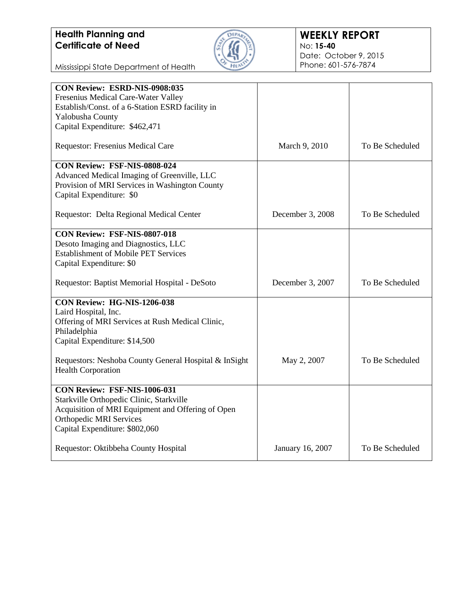

Mississippi State Department of Health

| CON Review: ESRD-NIS-0908:035                         |                  |                 |
|-------------------------------------------------------|------------------|-----------------|
| Fresenius Medical Care-Water Valley                   |                  |                 |
| Establish/Const. of a 6-Station ESRD facility in      |                  |                 |
| Yalobusha County                                      |                  |                 |
| Capital Expenditure: \$462,471                        |                  |                 |
| Requestor: Fresenius Medical Care                     | March 9, 2010    | To Be Scheduled |
| CON Review: FSF-NIS-0808-024                          |                  |                 |
| Advanced Medical Imaging of Greenville, LLC           |                  |                 |
| Provision of MRI Services in Washington County        |                  |                 |
| Capital Expenditure: \$0                              |                  |                 |
| Requestor: Delta Regional Medical Center              | December 3, 2008 | To Be Scheduled |
| <b>CON Review: FSF-NIS-0807-018</b>                   |                  |                 |
| Desoto Imaging and Diagnostics, LLC                   |                  |                 |
| <b>Establishment of Mobile PET Services</b>           |                  |                 |
| Capital Expenditure: \$0                              |                  |                 |
| Requestor: Baptist Memorial Hospital - DeSoto         | December 3, 2007 | To Be Scheduled |
| CON Review: HG-NIS-1206-038                           |                  |                 |
| Laird Hospital, Inc.                                  |                  |                 |
| Offering of MRI Services at Rush Medical Clinic,      |                  |                 |
| Philadelphia                                          |                  |                 |
| Capital Expenditure: \$14,500                         |                  |                 |
| Requestors: Neshoba County General Hospital & InSight | May 2, 2007      | To Be Scheduled |
| <b>Health Corporation</b>                             |                  |                 |
| <b>CON Review: FSF-NIS-1006-031</b>                   |                  |                 |
| Starkville Orthopedic Clinic, Starkville              |                  |                 |
| Acquisition of MRI Equipment and Offering of Open     |                  |                 |
| <b>Orthopedic MRI Services</b>                        |                  |                 |
| Capital Expenditure: \$802,060                        |                  |                 |
| Requestor: Oktibbeha County Hospital                  | January 16, 2007 | To Be Scheduled |